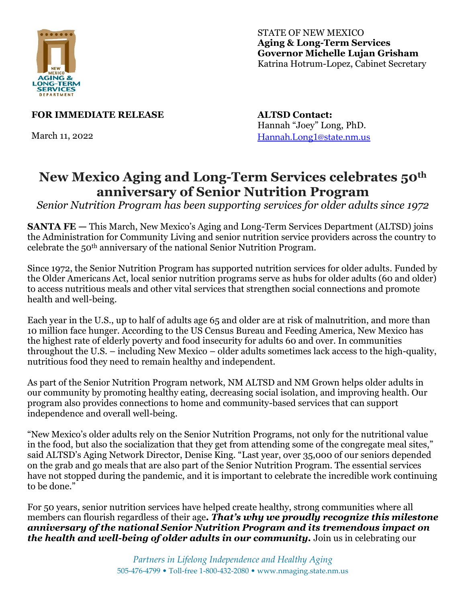

STATE OF NEW MEXICO **Aging & Long-Term Services Governor Michelle Lujan Grisham** Katrina Hotrum-Lopez, Cabinet Secretary

**FOR IMMEDIATE RELEASE**

March 11, 2022

**ALTSD Contact:** Hannah "Joey" Long, PhD. [Hannah.Long1@state.nm.us](mailto:Hannah.Long1@state.nm.us)

## **New Mexico Aging and Long-Term Services celebrates 50th anniversary of Senior Nutrition Program**

*Senior Nutrition Program has been supporting services for older adults since 1972*

**SANTA FE** — This March, New Mexico's Aging and Long-Term Services Department (ALTSD) joins the Administration for Community Living and senior nutrition service providers across the country to celebrate the 50th anniversary of the national Senior Nutrition Program.

Since 1972, the Senior Nutrition Program has supported nutrition services for older adults. Funded by the Older Americans Act, local senior nutrition programs serve as hubs for older adults (60 and older) to access nutritious meals and other vital services that strengthen social connections and promote health and well-being.

Each year in the U.S., up to half of adults age 65 and older are at risk of malnutrition, and more than 10 million face hunger. According to the US Census Bureau and Feeding America, New Mexico has the highest rate of elderly poverty and food insecurity for adults 60 and over. In communities throughout the U.S. – including New Mexico – older adults sometimes lack access to the high-quality, nutritious food they need to remain healthy and independent.

As part of the Senior Nutrition Program network, NM ALTSD and NM Grown helps older adults in our community by promoting healthy eating, decreasing social isolation, and improving health. Our program also provides connections to home and community-based services that can support independence and overall well-being.

"New Mexico's older adults rely on the Senior Nutrition Programs, not only for the nutritional value in the food, but also the socialization that they get from attending some of the congregate meal sites," said ALTSD's Aging Network Director, Denise King. "Last year, over 35,000 of our seniors depended on the grab and go meals that are also part of the Senior Nutrition Program. The essential services have not stopped during the pandemic, and it is important to celebrate the incredible work continuing to be done."

For 50 years, senior nutrition services have helped create healthy, strong communities where all members can flourish regardless of their age*. That's why we proudly recognize this milestone anniversary of the national Senior Nutrition Program and its tremendous impact on the health and well-being of older adults in our community.* **Join us in celebrating our**